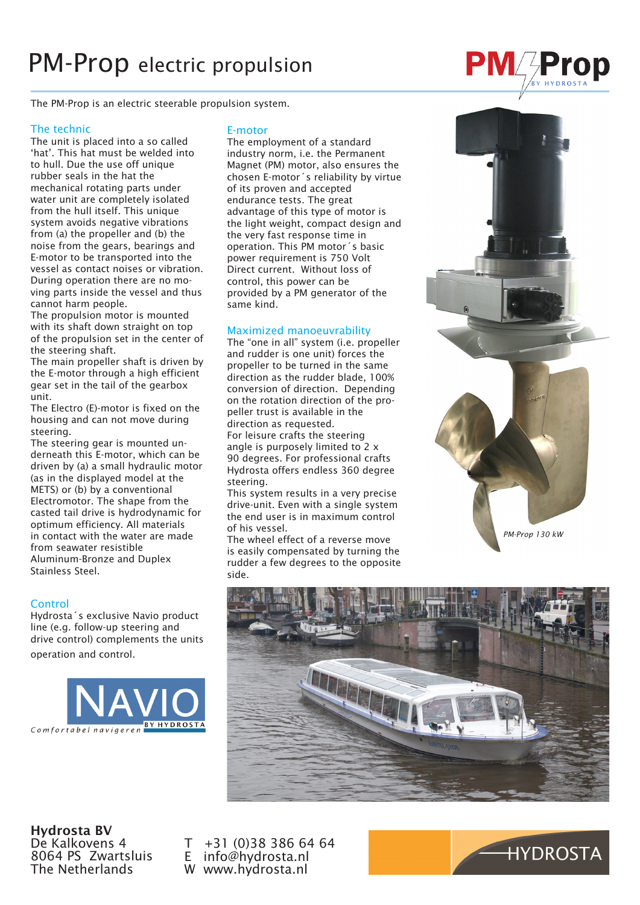## PM-Prop electric propulsion

The PM-Prop is an electric steerable propulsion system.

#### The technic

The unit is placed into a so called 'hat'. This hat must be welded into to hull. Due the use off unique rubber seals in the hat the mechanical rotating parts under water unit are completely isolated from the hull itself. This unique system avoids negative vibrations from (a) the propeller and (b) the noise from the gears, bearings and E-motor to be transported into the vessel as contact noises or vibration. During operation there are no moving parts inside the vessel and thus cannot harm people.

The propulsion motor is mounted with its shaft down straight on top of the propulsion set in the center of the steering shaft.

The main propeller shaft is driven by the E-motor through a high efficient gear set in the tail of the gearbox unit.

The Electro (E)-motor is fixed on the housing and can not move during steering.

The steering gear is mounted underneath this E-motor, which can be driven by (a) a small hydraulic motor (as in the displayed model at the METS) or (b) by a conventional Electromotor. The shape from the casted tail drive is hydrodynamic for optimum efficiency. All materials in contact with the water are made from seawater resistible Aluminum-Bronze and Duplex Stainless Steel.

#### **Control**

Hydrosta´s exclusive Navio product line (e.g. follow-up steering and drive control) complements the units

operation and control.



#### E-motor

The employment of a standard industry norm, i.e. the Permanent Magnet (PM) motor, also ensures the chosen E-motor´s reliability by virtue of its proven and accepted endurance tests. The great advantage of this type of motor is the light weight, compact design and the very fast response time in operation. This PM motor´s basic power requirement is 750 Volt Direct current. Without loss of control, this power can be provided by a PM generator of the same kind.

#### Maximized manoeuvrability

The "one in all" system (i.e. propeller and rudder is one unit) forces the propeller to be turned in the same direction as the rudder blade, 100% conversion of direction. Depending on the rotation direction of the propeller trust is available in the direction as requested.

For leisure crafts the steering angle is purposely limited to 2 x 90 degrees. For professional crafts Hydrosta offers endless 360 degree steering.

This system results in a very precise drive-unit. Even with a single system the end user is in maximum control of his vessel.

The wheel effect of a reverse move is easily compensated by turning the rudder a few degrees to the opposite side.



**PM Prop** 



Hydrosta BV De Kalkovens 4 8064 PS Zwartsluis The Netherlands

T +31 (0)38 386 64 64<br>E info@hydrosta.nl info@hydrosta.nl W www.hydrosta.nl